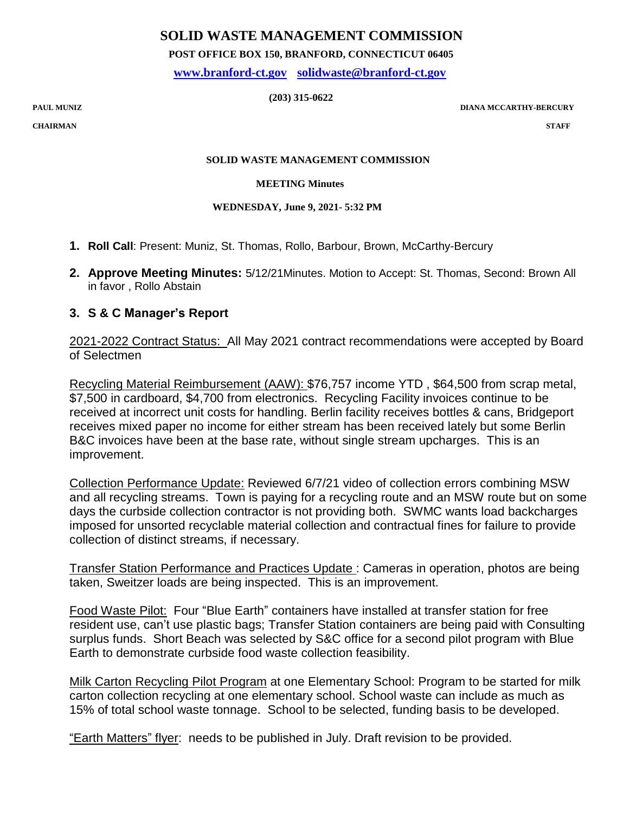# **SOLID WASTE MANAGEMENT COMMISSION**

 **POST OFFICE BOX 150, BRANFORD, CONNECTICUT 06405**

 **[www.branford-ct.gov](http://www.branford-ct.gov/) [solidwaste@branford-ct.gov](mailto:solidwaste@branford-ct.gov)**

 **(203) 315-0622**

 $\bf DIANA MCCARTHY-BERCURY$ 

**CHAIRMAN STAFF**

### **SOLID WASTE MANAGEMENT COMMISSION**

### **MEETING Minutes**

## **WEDNESDAY, June 9, 2021- 5:32 PM**

- **1. Roll Call**: Present: Muniz, St. Thomas, Rollo, Barbour, Brown, McCarthy-Bercury
- **2. Approve Meeting Minutes:** 5/12/21Minutes. Motion to Accept: St. Thomas, Second: Brown All in favor , Rollo Abstain

## **3. S & C Manager's Report**

2021-2022 Contract Status: All May 2021 contract recommendations were accepted by Board of Selectmen

Recycling Material Reimbursement (AAW): \$76,757 income YTD , \$64,500 from scrap metal, \$7,500 in cardboard, \$4,700 from electronics. Recycling Facility invoices continue to be received at incorrect unit costs for handling. Berlin facility receives bottles & cans, Bridgeport receives mixed paper no income for either stream has been received lately but some Berlin B&C invoices have been at the base rate, without single stream upcharges. This is an improvement.

Collection Performance Update: Reviewed 6/7/21 video of collection errors combining MSW and all recycling streams. Town is paying for a recycling route and an MSW route but on some days the curbside collection contractor is not providing both. SWMC wants load backcharges imposed for unsorted recyclable material collection and contractual fines for failure to provide collection of distinct streams, if necessary.

Transfer Station Performance and Practices Update : Cameras in operation, photos are being taken, Sweitzer loads are being inspected. This is an improvement.

Food Waste Pilot: Four "Blue Earth" containers have installed at transfer station for free resident use, can't use plastic bags; Transfer Station containers are being paid with Consulting surplus funds. Short Beach was selected by S&C office for a second pilot program with Blue Earth to demonstrate curbside food waste collection feasibility.

Milk Carton Recycling Pilot Program at one Elementary School: Program to be started for milk carton collection recycling at one elementary school. School waste can include as much as 15% of total school waste tonnage. School to be selected, funding basis to be developed.

"Earth Matters" flyer: needs to be published in July. Draft revision to be provided.